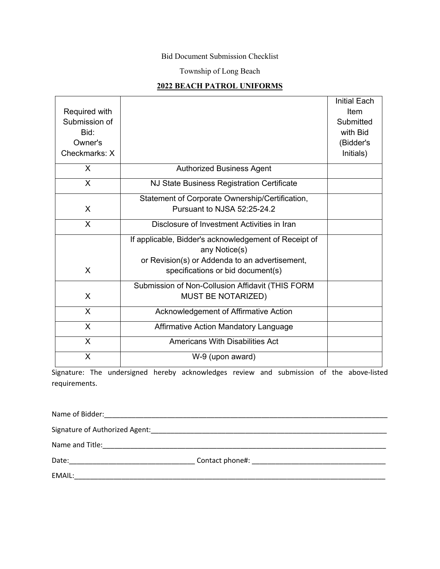## Bid Document Submission Checklist

Township of Long Beach

#### **2022 BEACH PATROL UNIFORMS**

|               |                                                       | <b>Initial Each</b> |
|---------------|-------------------------------------------------------|---------------------|
| Required with |                                                       | Item                |
| Submission of |                                                       | Submitted           |
| Bid:          |                                                       | with Bid            |
| Owner's       |                                                       | (Bidder's           |
| Checkmarks: X |                                                       | Initials)           |
| X             | <b>Authorized Business Agent</b>                      |                     |
| X             | NJ State Business Registration Certificate            |                     |
|               | Statement of Corporate Ownership/Certification,       |                     |
| X             | Pursuant to NJSA 52:25-24.2                           |                     |
| X             | Disclosure of Investment Activities in Iran           |                     |
|               | If applicable, Bidder's acknowledgement of Receipt of |                     |
|               | any Notice(s)                                         |                     |
|               | or Revision(s) or Addenda to an advertisement,        |                     |
| X             | specifications or bid document(s)                     |                     |
|               | Submission of Non-Collusion Affidavit (THIS FORM      |                     |
| X             | <b>MUST BE NOTARIZED)</b>                             |                     |
| X             | Acknowledgement of Affirmative Action                 |                     |
| $\mathsf{X}$  | Affirmative Action Mandatory Language                 |                     |
| X             | <b>Americans With Disabilities Act</b>                |                     |
| X             | W-9 (upon award)                                      |                     |

Signature: The undersigned hereby acknowledges review and submission of the above-listed requirements.

Name of Bidder:\_\_\_\_\_\_\_\_\_\_\_\_\_\_\_\_\_\_\_\_\_\_\_\_\_\_\_\_\_\_\_\_\_\_\_\_\_\_\_\_\_\_\_\_\_\_\_\_\_\_\_\_\_\_\_\_\_\_\_\_\_\_\_\_\_\_\_\_\_\_\_\_

Signature of Authorized Agent:\_\_\_\_\_\_\_\_\_\_\_\_\_\_\_\_\_\_\_\_\_\_\_\_\_\_\_\_\_\_\_\_\_\_\_\_\_\_\_\_\_\_\_\_\_\_\_\_\_\_\_\_\_\_\_\_\_\_\_\_

Name and Title:\_\_\_\_\_\_\_\_\_\_\_\_\_\_\_\_\_\_\_\_\_\_\_\_\_\_\_\_\_\_\_\_\_\_\_\_\_\_\_\_\_\_\_\_\_\_\_\_\_\_\_\_\_\_\_\_\_\_\_\_\_\_\_\_\_\_\_\_\_\_\_\_

Date:\_\_\_\_\_\_\_\_\_\_\_\_\_\_\_\_\_\_\_\_\_\_\_\_\_\_\_\_\_\_\_\_ Contact phone#: \_\_\_\_\_\_\_\_\_\_\_\_\_\_\_\_\_\_\_\_\_\_\_\_\_\_\_\_\_\_\_\_\_\_

EMAIL:\_\_\_\_\_\_\_\_\_\_\_\_\_\_\_\_\_\_\_\_\_\_\_\_\_\_\_\_\_\_\_\_\_\_\_\_\_\_\_\_\_\_\_\_\_\_\_\_\_\_\_\_\_\_\_\_\_\_\_\_\_\_\_\_\_\_\_\_\_\_\_\_\_\_\_\_\_\_\_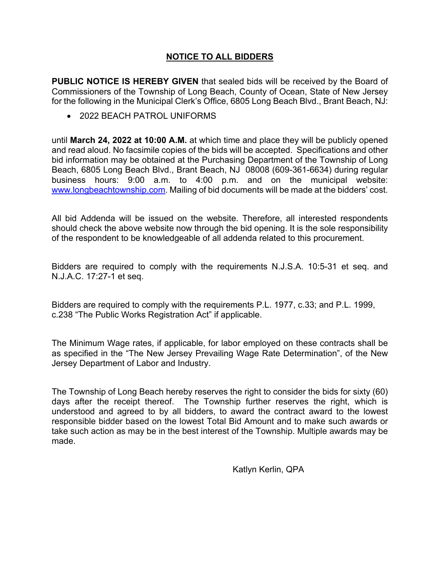# **NOTICE TO ALL BIDDERS**

**PUBLIC NOTICE IS HEREBY GIVEN** that sealed bids will be received by the Board of Commissioners of the Township of Long Beach, County of Ocean, State of New Jersey for the following in the Municipal Clerk's Office, 6805 Long Beach Blvd., Brant Beach, NJ:

• 2022 BEACH PATROL UNIFORMS

until **March 24, 2022 at 10:00 A.M.** at which time and place they will be publicly opened and read aloud. No facsimile copies of the bids will be accepted. Specifications and other bid information may be obtained at the Purchasing Department of the Township of Long Beach, 6805 Long Beach Blvd., Brant Beach, NJ 08008 (609-361-6634) during regular business hours: 9:00 a.m. to 4:00 p.m. and on the municipal website: www.longbeachtownship.com. Mailing of bid documents will be made at the bidders' cost.

All bid Addenda will be issued on the website. Therefore, all interested respondents should check the above website now through the bid opening. It is the sole responsibility of the respondent to be knowledgeable of all addenda related to this procurement.

Bidders are required to comply with the requirements N.J.S.A. 10:5-31 et seq. and N.J.A.C. 17:27-1 et seq.

Bidders are required to comply with the requirements P.L. 1977, c.33; and P.L. 1999, c.238 "The Public Works Registration Act" if applicable.

The Minimum Wage rates, if applicable, for labor employed on these contracts shall be as specified in the "The New Jersey Prevailing Wage Rate Determination", of the New Jersey Department of Labor and Industry.

The Township of Long Beach hereby reserves the right to consider the bids for sixty (60) days after the receipt thereof. The Township further reserves the right, which is understood and agreed to by all bidders, to award the contract award to the lowest responsible bidder based on the lowest Total Bid Amount and to make such awards or take such action as may be in the best interest of the Township. Multiple awards may be made.

Katlyn Kerlin, QPA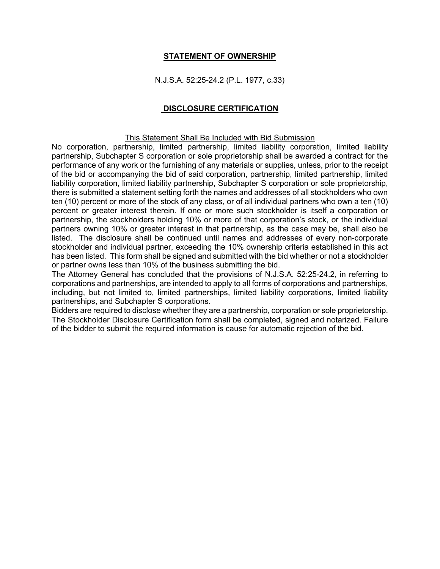## **STATEMENT OF OWNERSHIP**

N.J.S.A. 52:25-24.2 (P.L. 1977, c.33)

## **DISCLOSURE CERTIFICATION**

#### This Statement Shall Be Included with Bid Submission

No corporation, partnership, limited partnership, limited liability corporation, limited liability partnership, Subchapter S corporation or sole proprietorship shall be awarded a contract for the performance of any work or the furnishing of any materials or supplies, unless, prior to the receipt of the bid or accompanying the bid of said corporation, partnership, limited partnership, limited liability corporation, limited liability partnership, Subchapter S corporation or sole proprietorship, there is submitted a statement setting forth the names and addresses of all stockholders who own ten (10) percent or more of the stock of any class, or of all individual partners who own a ten (10) percent or greater interest therein. If one or more such stockholder is itself a corporation or partnership, the stockholders holding 10% or more of that corporation's stock, or the individual partners owning 10% or greater interest in that partnership, as the case may be, shall also be listed. The disclosure shall be continued until names and addresses of every non-corporate stockholder and individual partner, exceeding the 10% ownership criteria established in this act has been listed. This form shall be signed and submitted with the bid whether or not a stockholder or partner owns less than 10% of the business submitting the bid.

The Attorney General has concluded that the provisions of N.J.S.A. 52:25-24.2, in referring to corporations and partnerships, are intended to apply to all forms of corporations and partnerships, including, but not limited to, limited partnerships, limited liability corporations, limited liability partnerships, and Subchapter S corporations.

Bidders are required to disclose whether they are a partnership, corporation or sole proprietorship. The Stockholder Disclosure Certification form shall be completed, signed and notarized. Failure of the bidder to submit the required information is cause for automatic rejection of the bid.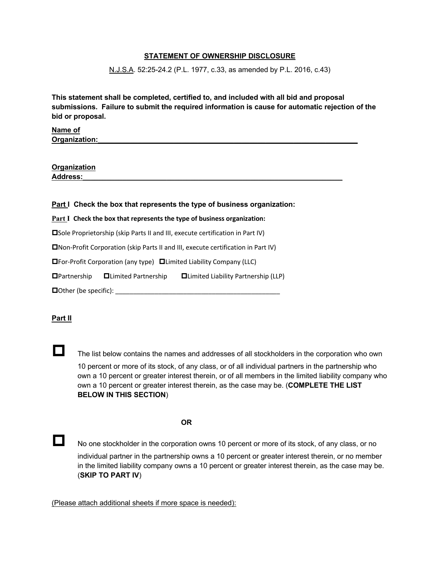#### **STATEMENT OF OWNERSHIP DISCLOSURE**

#### N.J.S.A. 52:25-24.2 (P.L. 1977, c.33, as amended by P.L. 2016, c.43)

**This statement shall be completed, certified to, and included with all bid and proposal submissions. Failure to submit the required information is cause for automatic rejection of the bid or proposal.**

**Name of Organization:** 

**Organization Address:\_\_\_\_\_\_\_\_\_\_\_\_\_\_\_\_\_\_\_\_\_\_\_\_\_\_\_\_\_\_\_\_\_\_\_\_\_\_\_\_\_\_\_\_\_\_\_\_\_\_\_\_\_\_\_\_\_\_\_\_\_\_\_\_\_**

#### **Part I Check the box that represents the type of business organization:**

#### **Part I Check the box that represents the type of business organization:**

 $\square$ Sole Proprietorship (skip Parts II and III, execute certification in Part IV)

**D**Non-Profit Corporation (skip Parts II and III, execute certification in Part IV)

 $\Box$  For-Profit Corporation (any type)  $\Box$  Limited Liability Company (LLC)

 $\Box$ Partnership  $\Box$ Limited Partnership  $\Box$ Limited Liability Partnership (LLP)

pOther (be specific): \_\_\_\_\_\_\_\_\_\_\_\_\_\_\_\_\_\_\_\_\_\_\_\_\_\_\_\_\_\_\_\_\_\_\_\_\_\_\_\_\_\_\_\_\_\_

#### **Part II**

The list below contains the names and addresses of all stockholders in the corporation who own

10 percent or more of its stock, of any class, or of all individual partners in the partnership who own a 10 percent or greater interest therein, or of all members in the limited liability company who own a 10 percent or greater interest therein, as the case may be. (**COMPLETE THE LIST BELOW IN THIS SECTION**)

#### **OR**

No one stockholder in the corporation owns 10 percent or more of its stock, of any class, or no

individual partner in the partnership owns a 10 percent or greater interest therein, or no member in the limited liability company owns a 10 percent or greater interest therein, as the case may be. (**SKIP TO PART IV**)

(Please attach additional sheets if more space is needed):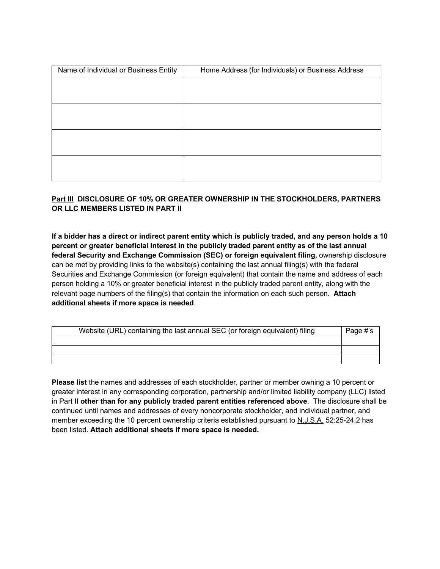| Name of Individual or Business Entity | Home Address (for Individuals) or Business Address |
|---------------------------------------|----------------------------------------------------|
|                                       |                                                    |
|                                       |                                                    |
|                                       |                                                    |
|                                       |                                                    |
|                                       |                                                    |
|                                       |                                                    |
|                                       |                                                    |
|                                       |                                                    |

## **Part III DISCLOSURE OF 10% OR GREATER OWNERSHIP IN THE STOCKHOLDERS, PARTNERS OR LLC MEMBERS LISTED IN PART II**

**If a bidder has a direct or indirect parent entity which is publicly traded, and any person holds a 10 percent or greater beneficial interest in the publicly traded parent entity as of the last annual federal Security and Exchange Commission (SEC) or foreign equivalent filing,** ownership disclosure can be met by providing links to the website(s) containing the last annual filing(s) with the federal Securities and Exchange Commission (or foreign equivalent) that contain the name and address of each person holding a 10% or greater beneficial interest in the publicly traded parent entity, along with the relevant page numbers of the filing(s) that contain the information on each such person. **Attach additional sheets if more space is needed**.

| Website (URL) containing the last annual SEC (or foreign equivalent) filing | Page #'s |
|-----------------------------------------------------------------------------|----------|
|                                                                             |          |
|                                                                             |          |
|                                                                             |          |

**Please list** the names and addresses of each stockholder, partner or member owning a 10 percent or greater interest in any corresponding corporation, partnership and/or limited liability company (LLC) listed in Part II **other than for any publicly traded parent entities referenced above**. The disclosure shall be continued until names and addresses of every noncorporate stockholder, and individual partner, and member exceeding the 10 percent ownership criteria established pursuant to N.J.S.A. 52:25-24.2 has been listed. **Attach additional sheets if more space is needed.**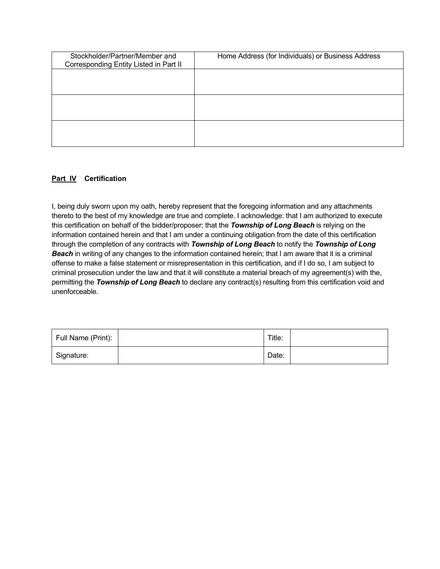| Stockholder/Partner/Member and<br>Corresponding Entity Listed in Part II | Home Address (for Individuals) or Business Address |
|--------------------------------------------------------------------------|----------------------------------------------------|
|                                                                          |                                                    |
|                                                                          |                                                    |
|                                                                          |                                                    |
|                                                                          |                                                    |
|                                                                          |                                                    |
|                                                                          |                                                    |

## **Part IV Certification**

I, being duly sworn upon my oath, hereby represent that the foregoing information and any attachments thereto to the best of my knowledge are true and complete. I acknowledge: that I am authorized to execute this certification on behalf of the bidder/proposer; that the *Township of Long Beach* is relying on the information contained herein and that I am under a continuing obligation from the date of this certification through the completion of any contracts with *Township of Long Beach* to notify the *Township of Long*  **Beach** in writing of any changes to the information contained herein; that I am aware that it is a criminal offense to make a false statement or misrepresentation in this certification, and if I do so, I am subject to criminal prosecution under the law and that it will constitute a material breach of my agreement(s) with the, permitting the *Township of Long Beach* to declare any contract(s) resulting from this certification void and unenforceable.

| Full Name (Print): | Title: |  |
|--------------------|--------|--|
| Signature:         | Date:  |  |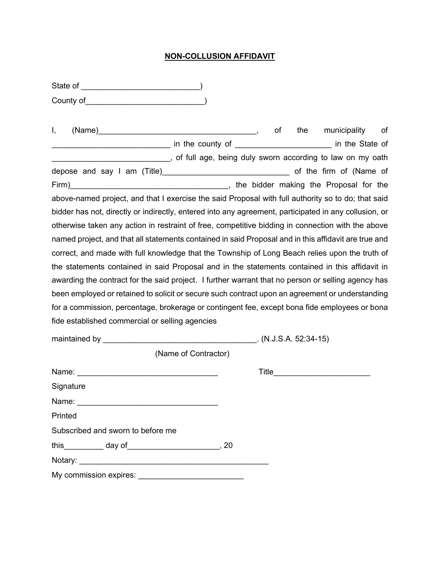## **NON-COLLUSION AFFIDAVIT**

| $(Name) \qquad \qquad \underbrace{\qquad \qquad }_{\qquad \qquad }^{}$<br>I,<br>in the county of _______________ in the county of ____________________________ in the State of                                                                                                                                                                                                                                                                                                                                                                                                                                                                                                                                                                                                                                                                                                                                                                                                            |                      | of | the | municipality<br>of |
|-------------------------------------------------------------------------------------------------------------------------------------------------------------------------------------------------------------------------------------------------------------------------------------------------------------------------------------------------------------------------------------------------------------------------------------------------------------------------------------------------------------------------------------------------------------------------------------------------------------------------------------------------------------------------------------------------------------------------------------------------------------------------------------------------------------------------------------------------------------------------------------------------------------------------------------------------------------------------------------------|----------------------|----|-----|--------------------|
|                                                                                                                                                                                                                                                                                                                                                                                                                                                                                                                                                                                                                                                                                                                                                                                                                                                                                                                                                                                           |                      |    |     |                    |
| above-named project, and that I exercise the said Proposal with full authority so to do; that said<br>bidder has not, directly or indirectly, entered into any agreement, participated in any collusion, or<br>otherwise taken any action in restraint of free, competitive bidding in connection with the above<br>named project, and that all statements contained in said Proposal and in this affidavit are true and<br>correct, and made with full knowledge that the Township of Long Beach relies upon the truth of<br>the statements contained in said Proposal and in the statements contained in this affidavit in<br>awarding the contract for the said project. I further warrant that no person or selling agency has<br>been employed or retained to solicit or secure such contract upon an agreement or understanding<br>for a commission, percentage, brokerage or contingent fee, except bona fide employees or bona<br>fide established commercial or selling agencies |                      |    |     |                    |
|                                                                                                                                                                                                                                                                                                                                                                                                                                                                                                                                                                                                                                                                                                                                                                                                                                                                                                                                                                                           |                      |    |     |                    |
| Name: <u>___________________________________</u><br>Signature<br>Name: <u>www.community.community.community.com</u>                                                                                                                                                                                                                                                                                                                                                                                                                                                                                                                                                                                                                                                                                                                                                                                                                                                                       | (Name of Contractor) |    |     |                    |
| Printed<br>Subscribed and sworn to before me<br>this__________ day of_______________________, 20<br>Notary: <b>William Science Community</b> and the community of the community of the community of the community of the community of the community of the community of the community of the community of the community of the communit                                                                                                                                                                                                                                                                                                                                                                                                                                                                                                                                                                                                                                                   |                      |    |     |                    |
|                                                                                                                                                                                                                                                                                                                                                                                                                                                                                                                                                                                                                                                                                                                                                                                                                                                                                                                                                                                           |                      |    |     |                    |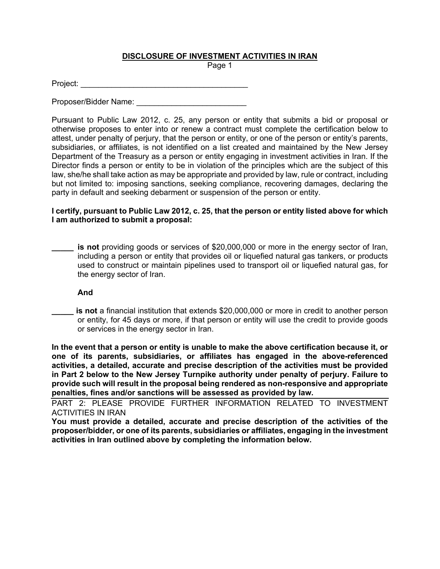## **DISCLOSURE OF INVESTMENT ACTIVITIES IN IRAN**

Page 1

Project:

Proposer/Bidder Name: \_\_\_\_\_\_\_\_\_\_\_\_\_\_\_\_\_\_\_\_\_\_\_\_\_

Pursuant to Public Law 2012, c. 25, any person or entity that submits a bid or proposal or otherwise proposes to enter into or renew a contract must complete the certification below to attest, under penalty of perjury, that the person or entity, or one of the person or entity's parents, subsidiaries, or affiliates, is not identified on a list created and maintained by the New Jersey Department of the Treasury as a person or entity engaging in investment activities in Iran. If the Director finds a person or entity to be in violation of the principles which are the subject of this law, she/he shall take action as may be appropriate and provided by law, rule or contract, including but not limited to: imposing sanctions, seeking compliance, recovering damages, declaring the party in default and seeking debarment or suspension of the person or entity.

### **I certify, pursuant to Public Law 2012, c. 25, that the person or entity listed above for which I am authorized to submit a proposal:**

**is not** providing goods or services of \$20,000,000 or more in the energy sector of Iran, including a person or entity that provides oil or liquefied natural gas tankers, or products used to construct or maintain pipelines used to transport oil or liquefied natural gas, for the energy sector of Iran.

#### **And**

**is not** a financial institution that extends \$20,000,000 or more in credit to another person or entity, for 45 days or more, if that person or entity will use the credit to provide goods or services in the energy sector in Iran.

**In the event that a person or entity is unable to make the above certification because it, or one of its parents, subsidiaries, or affiliates has engaged in the above-referenced activities, a detailed, accurate and precise description of the activities must be provided in Part 2 below to the New Jersey Turnpike authority under penalty of perjury. Failure to provide such will result in the proposal being rendered as non-responsive and appropriate penalties, fines and/or sanctions will be assessed as provided by law.**

PART 2: PLEASE PROVIDE FURTHER INFORMATION RELATED TO INVESTMENT ACTIVITIES IN IRAN

**You must provide a detailed, accurate and precise description of the activities of the proposer/bidder, or one of its parents, subsidiaries or affiliates, engaging in the investment activities in Iran outlined above by completing the information below.**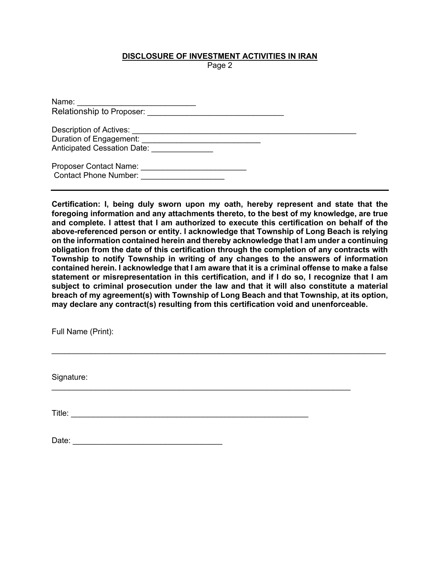## **DISCLOSURE OF INVESTMENT ACTIVITIES IN IRAN**

Page 2

| Name:                                                  |  |
|--------------------------------------------------------|--|
| Relationship to Proposer:                              |  |
| Description of Actives:                                |  |
| Duration of Engagement:                                |  |
| <b>Anticipated Cessation Date:</b>                     |  |
| Proposer Contact Name:<br><b>Contact Phone Number:</b> |  |

**Certification: I, being duly sworn upon my oath, hereby represent and state that the foregoing information and any attachments thereto, to the best of my knowledge, are true and complete. I attest that I am authorized to execute this certification on behalf of the above-referenced person or entity. I acknowledge that Township of Long Beach is relying on the information contained herein and thereby acknowledge that I am under a continuing obligation from the date of this certification through the completion of any contracts with Township to notify Township in writing of any changes to the answers of information contained herein. I acknowledge that I am aware that it is a criminal offense to make a false statement or misrepresentation in this certification, and if I do so, I recognize that I am subject to criminal prosecution under the law and that it will also constitute a material breach of my agreement(s) with Township of Long Beach and that Township, at its option, may declare any contract(s) resulting from this certification void and unenforceable.**

 $\mathcal{L}_\text{max} = \mathcal{L}_\text{max} = \mathcal{L}_\text{max} = \mathcal{L}_\text{max} = \mathcal{L}_\text{max} = \mathcal{L}_\text{max} = \mathcal{L}_\text{max} = \mathcal{L}_\text{max} = \mathcal{L}_\text{max} = \mathcal{L}_\text{max} = \mathcal{L}_\text{max} = \mathcal{L}_\text{max} = \mathcal{L}_\text{max} = \mathcal{L}_\text{max} = \mathcal{L}_\text{max} = \mathcal{L}_\text{max} = \mathcal{L}_\text{max} = \mathcal{L}_\text{max} = \mathcal{$ 

Full Name (Print):

Signature:

Title: \_\_\_\_\_\_\_\_\_\_\_\_\_\_\_\_\_\_\_\_\_\_\_\_\_\_\_\_\_\_\_\_\_\_\_\_\_\_\_\_\_\_\_\_\_\_\_\_\_\_\_\_\_\_

Date: \_\_\_\_\_\_\_\_\_\_\_\_\_\_\_\_\_\_\_\_\_\_\_\_\_\_\_\_\_\_\_\_\_\_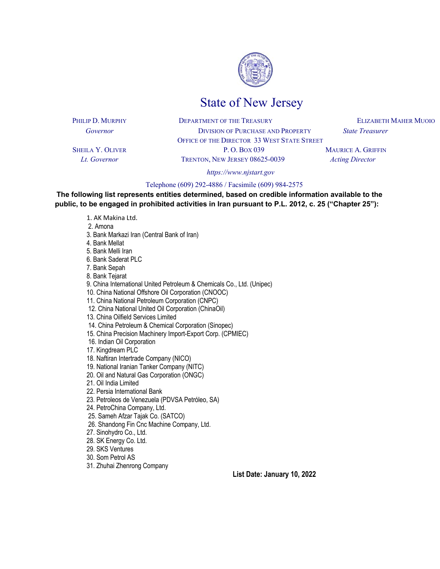

# State of New Jersey

PHILIP D. MURPHY **DEPARTMENT OF THE TREASURY COMPUTER** ELIZABETH MAHER MUOIO *Governor* DIVISION OF PURCHASE AND PROPERTY *State Treasurer*

 OFFICE OF THE DIRECTOR 33 WEST STATE STREET SHEILA Y. OLIVER P.O. BOX 039 MAURICE A. GRIFFIN *Lt. Governor* TRENTON, NEW JERSEY 08625-0039 *Acting Director*

*https://www.njstart.gov* 

Telephone (609) 292-4886 / Facsimile (609) 984-2575

**The following list represents entities determined, based on credible information available to the public, to be engaged in prohibited activities in Iran pursuant to P.L. 2012, c. 25 ("Chapter 25"):** 



2. Amona

- 3. Bank Markazi Iran (Central Bank of Iran)
- 4. Bank Mellat

5. Bank Melli Iran

6. Bank Saderat PLC

7. Bank Sepah

8. Bank Tejarat

9. China International United Petroleum & Chemicals Co., Ltd. (Unipec)

10. China National Offshore Oil Corporation (CNOOC)

11. China National Petroleum Corporation (CNPC)

12. China National United Oil Corporation (ChinaOil)

13. China Oilfield Services Limited

14. China Petroleum & Chemical Corporation (Sinopec)

15. China Precision Machinery Import-Export Corp. (CPMIEC)

16. Indian Oil Corporation

17. Kingdream PLC

18. Naftiran Intertrade Company (NICO)

19. National Iranian Tanker Company (NITC)

20. Oil and Natural Gas Corporation (ONGC)

21. Oil India Limited

22. Persia International Bank

23. Petroleos de Venezuela (PDVSA Petróleo, SA)

24. PetroChina Company, Ltd.

25. Sameh Afzar Tajak Co. (SATCO)

26. Shandong Fin Cnc Machine Company, Ltd.

27. Sinohydro Co., Ltd.

28. SK Energy Co. Ltd.

29. SKS Ventures

30. Som Petrol AS

31. Zhuhai Zhenrong Company

**List Date: January 10, 2022**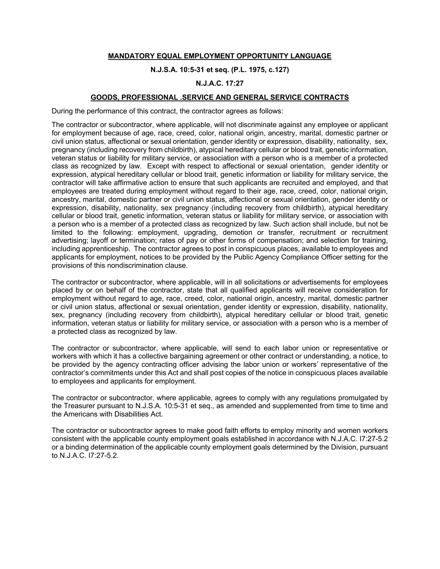#### **MANDATORY EQUAL EMPLOYMENT OPPORTUNITY LANGUAGE**

#### **N.J.S.A. 10:5-31 et seq. (P.L. 1975, c.127)**

#### **N.J.A.C. 17:27**

#### **GOODS, PROFESSIONAL .SERVICE AND GENERAL SERVICE CONTRACTS**

During the performance of this contract, the contractor agrees as follows:

The contractor or subcontractor, where applicable, will not discriminate against any employee or applicant for employment because of age, race, creed, color, national origin, ancestry, marital, domestic partner or civil union status, affectional or sexual orientation, gender identity or expression, disability, nationality, sex, pregnancy (including recovery from childbirth), atypical hereditary cellular or blood trait, genetic information, veteran status or liability for military service, or association with a person who is a member of a protected class as recognized by law. Except with respect to affectional or sexual orientation, gender identity or expression, atypical hereditary cellular or blood trait, genetic information or liability for military service, the contractor will take affirmative action to ensure that such applicants are recruited and employed, and that employees are treated during employment without regard to their age, race, creed, color, national origin, ancestry, marital, domestic partner or civil union status, affectional or sexual orientation, gender identity or expression, disability, nationality, sex pregnancy (including recovery from childbirth), atypical hereditary cellular or blood trait, genetic information, veteran status or liability for military service, or association with a person who is a member of a protected class as recognized by law. Such action shall include, but not be limited to the following: employment, upgrading, demotion or transfer, recruitment or recruitment advertising; layoff or termination; rates of pay or other forms of compensation; and selection for training, including apprenticeship. The contractor agrees to post in conspicuous places, available to employees and applicants for employment, notices to be provided by the Public Agency Compliance Officer setting for the provisions of this nondiscrimination clause.

The contractor or subcontractor, where applicable, will in all solicitations or advertisements for employees placed by or on behalf of the contractor, state that all qualified applicants will receive consideration for employment without regard to age, race, creed, color, national origin, ancestry, marital, domestic partner or civil union status, affectional or sexual orientation, gender identity or expression, disability, nationality, sex, pregnancy (including recovery from childbirth), atypical hereditary cellular or blood trait, genetic information, veteran status or liability for military service, or association with a person who is a member of a protected class as recognized by law.

The contractor or subcontractor, where applicable, will send to each labor union or representative or workers with which it has a collective bargaining agreement or other contract or understanding, a notice, to be provided by the agency contracting officer advising the labor union or workers' representative of the contractor's commitments under this Act and shall post copies of the notice in conspicuous places available to employees and applicants for employment.

The contractor or subcontractor, where applicable, agrees to comply with any regulations promulgated by the Treasurer pursuant to N.J.S.A. 10:5-31 et seq., as amended and supplemented from time to time and the Americans with Disabilities Act.

The contractor or subcontractor agrees to make good faith efforts to employ minority and women workers consistent with the applicable county employment goals established in accordance with N.J.A.C. I7:27-5.2 or a binding determination of the applicable county employment goals determined by the Division, pursuant to N.J.A.C. I7:27-5.2.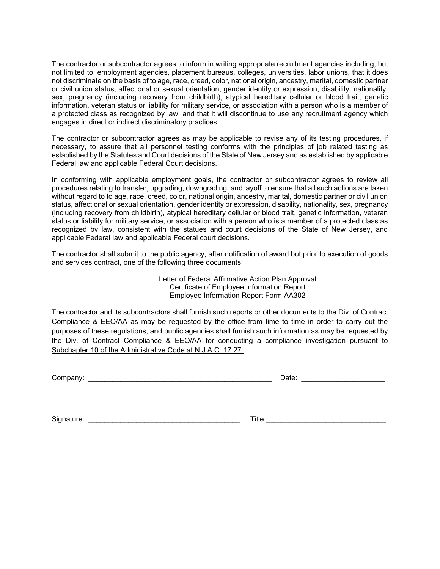The contractor or subcontractor agrees to inform in writing appropriate recruitment agencies including, but not limited to, employment agencies, placement bureaus, colleges, universities, labor unions, that it does not discriminate on the basis of to age, race, creed, color, national origin, ancestry, marital, domestic partner or civil union status, affectional or sexual orientation, gender identity or expression, disability, nationality, sex, pregnancy (including recovery from childbirth), atypical hereditary cellular or blood trait, genetic information, veteran status or liability for military service, or association with a person who is a member of a protected class as recognized by law, and that it will discontinue to use any recruitment agency which engages in direct or indirect discriminatory practices.

The contractor or subcontractor agrees as may be applicable to revise any of its testing procedures, if necessary, to assure that all personnel testing conforms with the principles of job related testing as established by the Statutes and Court decisions of the State of New Jersey and as established by applicable Federal law and applicable Federal Court decisions.

In conforming with applicable employment goals, the contractor or subcontractor agrees to review all procedures relating to transfer, upgrading, downgrading, and layoff to ensure that all such actions are taken without regard to to age, race, creed, color, national origin, ancestry, marital, domestic partner or civil union status, affectional or sexual orientation, gender identity or expression, disability, nationality, sex, pregnancy (including recovery from childbirth), atypical hereditary cellular or blood trait, genetic information, veteran status or liability for military service, or association with a person who is a member of a protected class as recognized by law, consistent with the statues and court decisions of the State of New Jersey, and applicable Federal law and applicable Federal court decisions.

The contractor shall submit to the public agency, after notification of award but prior to execution of goods and services contract, one of the following three documents:

> Letter of Federal Affirmative Action Plan Approval Certificate of Employee Information Report Employee Information Report Form AA302

The contractor and its subcontractors shall furnish such reports or other documents to the Div. of Contract Compliance & EEO/AA as may be requested by the office from time to time in order to carry out the purposes of these regulations, and public agencies shall furnish such information as may be requested by the Div. of Contract Compliance & EEO/AA for conducting a compliance investigation pursuant to Subchapter 10 of the Administrative Code at N.J.A.C. 17:27.

Company: \_\_\_\_\_\_\_\_\_\_\_\_\_\_\_\_\_\_\_\_\_\_\_\_\_\_\_\_\_\_\_\_\_\_\_\_\_\_\_\_\_\_\_\_\_\_ Date: \_\_\_\_\_\_\_\_\_\_\_\_\_\_\_\_\_\_\_\_\_

Signature: \_\_\_\_\_\_\_\_\_\_\_\_\_\_\_\_\_\_\_\_\_\_\_\_\_\_\_\_\_\_\_\_\_\_\_\_\_\_ Title:\_\_\_\_\_\_\_\_\_\_\_\_\_\_\_\_\_\_\_\_\_\_\_\_\_\_\_\_\_\_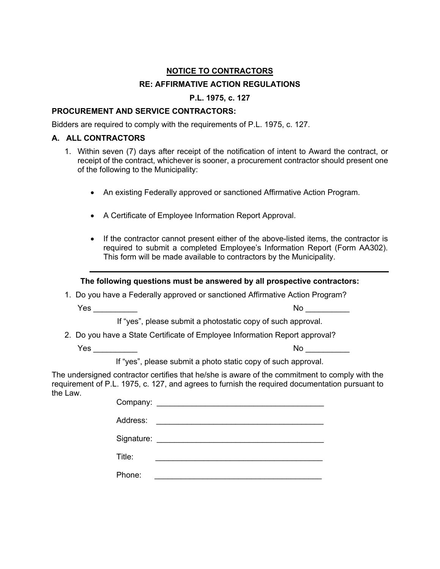## **NOTICE TO CONTRACTORS**

## **RE: AFFIRMATIVE ACTION REGULATIONS**

## **P.L. 1975, c. 127**

#### **PROCUREMENT AND SERVICE CONTRACTORS:**

Bidders are required to comply with the requirements of P.L. 1975, c. 127.

### **A. ALL CONTRACTORS**

- 1. Within seven (7) days after receipt of the notification of intent to Award the contract, or receipt of the contract, whichever is sooner, a procurement contractor should present one of the following to the Municipality:
	- An existing Federally approved or sanctioned Affirmative Action Program.
	- A Certificate of Employee Information Report Approval.
	- If the contractor cannot present either of the above-listed items, the contractor is required to submit a completed Employee's Information Report (Form AA302). This form will be made available to contractors by the Municipality.

### **The following questions must be answered by all prospective contractors:**

1. Do you have a Federally approved or sanctioned Affirmative Action Program?

Yes \_\_\_\_\_\_\_\_\_\_ No \_\_\_\_\_\_\_\_\_\_

If "yes", please submit a photostatic copy of such approval.

2. Do you have a State Certificate of Employee Information Report approval?

Yes \_\_\_\_\_\_\_\_\_\_ No \_\_\_\_\_\_\_\_\_\_

If "yes", please submit a photo static copy of such approval.

The undersigned contractor certifies that he/she is aware of the commitment to comply with the requirement of P.L. 1975, c. 127, and agrees to furnish the required documentation pursuant to the Law.

> Company: \_\_\_\_\_\_\_\_\_\_\_\_\_\_\_\_\_\_\_\_\_\_\_\_\_\_\_\_\_\_\_\_\_\_\_\_\_\_ Address: \_\_\_\_\_\_\_\_\_\_\_\_\_\_\_\_\_\_\_\_\_\_\_\_\_\_\_\_\_\_\_\_\_\_\_\_\_\_ Signature: \_\_\_\_\_\_\_\_\_\_\_\_\_\_\_\_\_\_\_\_\_\_\_\_\_\_\_\_\_\_\_\_\_\_\_\_\_\_

Title:  $\qquad \qquad \overline{\qquad \qquad }$ 

Phone: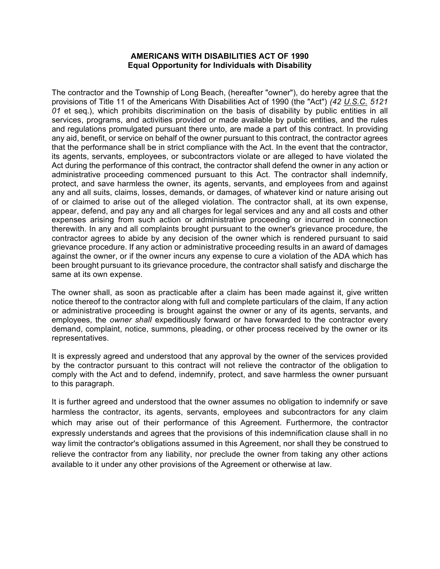#### **AMERICANS WITH DISABILITIES ACT OF 1990 Equal Opportunity for Individuals with Disability**

The contractor and the Township of Long Beach, (hereafter "owner"), do hereby agree that the provisions of Title 11 of the Americans With Disabilities Act of 1990 (the "Act") *(42 U.S.C. 5121 01* et seq.), which prohibits discrimination on the basis of disability by public entities in all services, programs, and activities provided or made available by public entities, and the rules and regulations promulgated pursuant there unto, are made a part of this contract. In providing any aid, benefit, or service on behalf of the owner pursuant to this contract, the contractor agrees that the performance shall be in strict compliance with the Act. In the event that the contractor, its agents, servants, employees, or subcontractors violate or are alleged to have violated the Act during the performance of this contract, the contractor shall defend the owner in any action or administrative proceeding commenced pursuant to this Act. The contractor shall indemnify, protect, and save harmless the owner, its agents, servants, and employees from and against any and all suits, claims, losses, demands, or damages, of whatever kind or nature arising out of or claimed to arise out of the alleged violation. The contractor shall, at its own expense, appear, defend, and pay any and all charges for legal services and any and all costs and other expenses arising from such action or administrative proceeding or incurred in connection therewith. In any and all complaints brought pursuant to the owner's grievance procedure, the contractor agrees to abide by any decision of the owner which is rendered pursuant to said grievance procedure. If any action or administrative proceeding results in an award of damages against the owner, or if the owner incurs any expense to cure a violation of the ADA which has been brought pursuant to its grievance procedure, the contractor shall satisfy and discharge the same at its own expense.

The owner shall, as soon as practicable after a claim has been made against it, give written notice thereof to the contractor along with full and complete particulars of the claim, If any action or administrative proceeding is brought against the owner or any of its agents, servants, and employees, the *owner shall* expeditiously forward or have forwarded to the contractor every demand, complaint, notice, summons, pleading, or other process received by the owner or its representatives.

It is expressly agreed and understood that any approval by the owner of the services provided by the contractor pursuant to this contract will not relieve the contractor of the obligation to comply with the Act and to defend, indemnify, protect, and save harmless the owner pursuant to this paragraph.

It is further agreed and understood that the owner assumes no obligation to indemnify or save harmless the contractor, its agents, servants, employees and subcontractors for any claim which may arise out of their performance of this Agreement. Furthermore, the contractor expressly understands and agrees that the provisions of this indemnification clause shall in no way limit the contractor's obligations assumed in this Agreement, nor shall they be construed to relieve the contractor from any liability, nor preclude the owner from taking any other actions available to it under any other provisions of the Agreement or otherwise at law.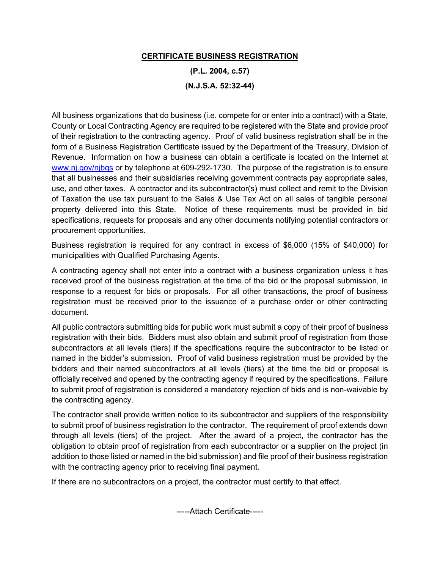## **CERTIFICATE BUSINESS REGISTRATION**

**(P.L. 2004, c.57) (N.J.S.A. 52:32-44)**

All business organizations that do business (i.e. compete for or enter into a contract) with a State, County or Local Contracting Agency are required to be registered with the State and provide proof of their registration to the contracting agency. Proof of valid business registration shall be in the form of a Business Registration Certificate issued by the Department of the Treasury, Division of Revenue. Information on how a business can obtain a certificate is located on the Internet at www.nj.gov/njbgs or by telephone at 609-292-1730. The purpose of the registration is to ensure that all businesses and their subsidiaries receiving government contracts pay appropriate sales, use, and other taxes. A contractor and its subcontractor(s) must collect and remit to the Division of Taxation the use tax pursuant to the Sales & Use Tax Act on all sales of tangible personal property delivered into this State. Notice of these requirements must be provided in bid specifications, requests for proposals and any other documents notifying potential contractors or procurement opportunities.

Business registration is required for any contract in excess of \$6,000 (15% of \$40,000) for municipalities with Qualified Purchasing Agents.

A contracting agency shall not enter into a contract with a business organization unless it has received proof of the business registration at the time of the bid or the proposal submission, in response to a request for bids or proposals. For all other transactions, the proof of business registration must be received prior to the issuance of a purchase order or other contracting document.

All public contractors submitting bids for public work must submit a copy of their proof of business registration with their bids. Bidders must also obtain and submit proof of registration from those subcontractors at all levels (tiers) if the specifications require the subcontractor to be listed or named in the bidder's submission. Proof of valid business registration must be provided by the bidders and their named subcontractors at all levels (tiers) at the time the bid or proposal is officially received and opened by the contracting agency if required by the specifications. Failure to submit proof of registration is considered a mandatory rejection of bids and is non-waivable by the contracting agency.

The contractor shall provide written notice to its subcontractor and suppliers of the responsibility to submit proof of business registration to the contractor. The requirement of proof extends down through all levels (tiers) of the project. After the award of a project, the contractor has the obligation to obtain proof of registration from each subcontractor or a supplier on the project (in addition to those listed or named in the bid submission) and file proof of their business registration with the contracting agency prior to receiving final payment.

If there are no subcontractors on a project, the contractor must certify to that effect.

-----Attach Certificate-----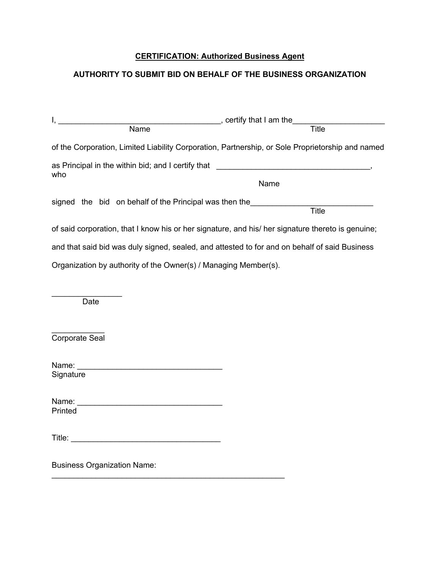## **CERTIFICATION: Authorized Business Agent**

# **AUTHORITY TO SUBMIT BID ON BEHALF OF THE BUSINESS ORGANIZATION**

| of the Corporation, Limited Liability Corporation, Partnership, or Sole Proprietorship and named  |
|---------------------------------------------------------------------------------------------------|
| as Principal in the within bid; and I certify that _____________________________                  |
| Name                                                                                              |
| signed the bid on behalf of the Principal was then the Title                                      |
|                                                                                                   |
| of said corporation, that I know his or her signature, and his/ her signature thereto is genuine; |
| and that said bid was duly signed, sealed, and attested to for and on behalf of said Business     |
| Organization by authority of the Owner(s) / Managing Member(s).                                   |
|                                                                                                   |
|                                                                                                   |
|                                                                                                   |
|                                                                                                   |
|                                                                                                   |
|                                                                                                   |
|                                                                                                   |
|                                                                                                   |
|                                                                                                   |
|                                                                                                   |
|                                                                                                   |
|                                                                                                   |
|                                                                                                   |
|                                                                                                   |
|                                                                                                   |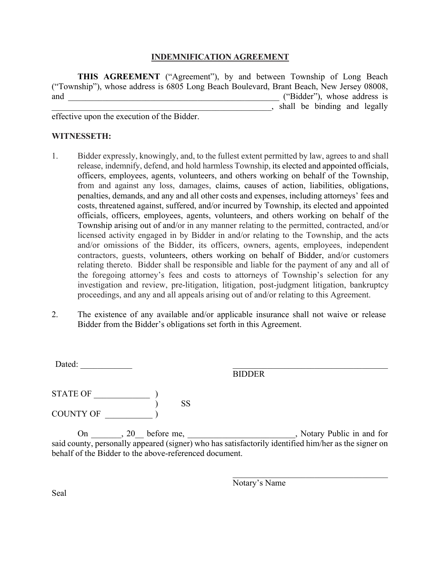## **INDEMNIFICATION AGREEMENT**

**THIS AGREEMENT** ("Agreement"), by and between Township of Long Beach ("Township"), whose address is 6805 Long Beach Boulevard, Brant Beach, New Jersey 08008, and \_\_\_\_\_\_\_\_\_\_\_\_\_\_\_\_\_\_\_\_\_\_\_\_\_\_\_\_\_\_\_\_\_\_\_\_\_\_\_\_\_\_\_\_\_\_\_\_\_ ("Bidder"), whose address is \_\_\_\_\_\_\_\_\_\_\_\_\_\_\_\_\_\_\_\_\_\_\_\_\_\_\_\_\_\_\_\_\_\_\_\_\_\_\_\_\_\_\_\_\_\_\_\_\_\_\_, shall be binding and legally

effective upon the execution of the Bidder.

## **WITNESSETH:**

- 1. Bidder expressly, knowingly, and, to the fullest extent permitted by law, agrees to and shall release, indemnify, defend, and hold harmless Township, its elected and appointed officials, officers, employees, agents, volunteers, and others working on behalf of the Township, from and against any loss, damages, claims, causes of action, liabilities, obligations, penalties, demands, and any and all other costs and expenses, including attorneys' fees and costs, threatened against, suffered, and/or incurred by Township, its elected and appointed officials, officers, employees, agents, volunteers, and others working on behalf of the Township arising out of and/or in any manner relating to the permitted, contracted, and/or licensed activity engaged in by Bidder in and/or relating to the Township, and the acts and/or omissions of the Bidder, its officers, owners, agents, employees, independent contractors, guests, volunteers, others working on behalf of Bidder, and/or customers relating thereto. Bidder shall be responsible and liable for the payment of any and all of the foregoing attorney's fees and costs to attorneys of Township's selection for any investigation and review, pre-litigation, litigation, post-judgment litigation, bankruptcy proceedings, and any and all appeals arising out of and/or relating to this Agreement.
- 2. The existence of any available and/or applicable insurance shall not waive or release Bidder from the Bidder's obligations set forth in this Agreement.

| Dated:           |    |               |  |
|------------------|----|---------------|--|
|                  |    | <b>BIDDER</b> |  |
| <b>STATE OF</b>  | SS |               |  |
| <b>COUNTY OF</b> |    |               |  |

On \_\_\_\_\_\_, 20\_\_ before me, \_\_\_\_\_\_\_\_\_\_\_\_\_\_\_\_\_\_\_\_\_\_\_, Notary Public in and for said county, personally appeared (signer) who has satisfactorily identified him/her as the signer on behalf of the Bidder to the above-referenced document.

Notary's Name

Seal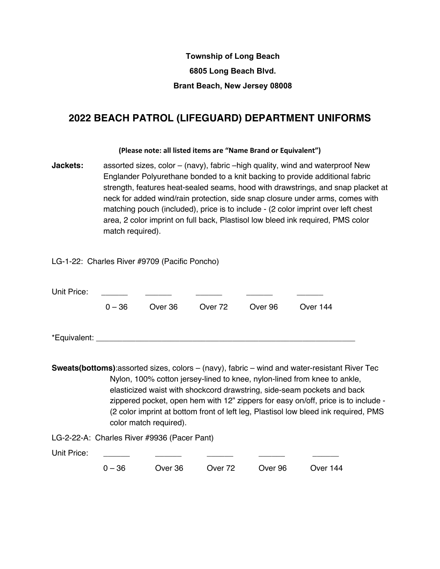# **Township of Long Beach 6805 Long Beach Blvd. Brant Beach, New Jersey 08008**

# **2022 BEACH PATROL (LIFEGUARD) DEPARTMENT UNIFORMS**

### **(Please note: all listed items are "Name Brand or Equivalent")**

**Jackets:** assorted sizes, color – (navy), fabric –high quality, wind and waterproof New Englander Polyurethane bonded to a knit backing to provide additional fabric strength, features heat-sealed seams, hood with drawstrings, and snap placket at neck for added wind/rain protection, side snap closure under arms, comes with matching pouch (included), price is to include - (2 color imprint over left chest area, 2 color imprint on full back, Plastisol low bleed ink required, PMS color match required).

LG-1-22: Charles River #9709 (Pacific Poncho)

| Unit Price:  |          |                                             |         |         |                                                                                                                                                                                                                                                                                                                                                                                                                                         |
|--------------|----------|---------------------------------------------|---------|---------|-----------------------------------------------------------------------------------------------------------------------------------------------------------------------------------------------------------------------------------------------------------------------------------------------------------------------------------------------------------------------------------------------------------------------------------------|
|              | $0 - 36$ | Over 36                                     | Over 72 | Over 96 | Over 144                                                                                                                                                                                                                                                                                                                                                                                                                                |
| *Equivalent: |          |                                             |         |         |                                                                                                                                                                                                                                                                                                                                                                                                                                         |
|              |          | color match required).                      |         |         | <b>Sweats(bottoms)</b> :assorted sizes, colors – (navy), fabric – wind and water-resistant River Tec<br>Nylon, 100% cotton jersey-lined to knee, nylon-lined from knee to ankle,<br>elasticized waist with shockcord drawstring, side-seam pockets and back<br>zippered pocket, open hem with 12" zippers for easy on/off, price is to include -<br>(2 color imprint at bottom front of left leg, Plastisol low bleed ink required, PMS |
|              |          | LG-2-22-A: Charles River #9936 (Pacer Pant) |         |         |                                                                                                                                                                                                                                                                                                                                                                                                                                         |
| Unit Price:  |          |                                             |         |         |                                                                                                                                                                                                                                                                                                                                                                                                                                         |
|              | $0 - 36$ | Over 36                                     | Over 72 | Over 96 | Over 144                                                                                                                                                                                                                                                                                                                                                                                                                                |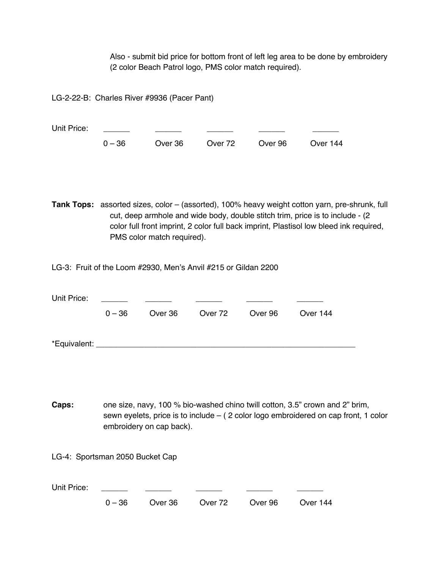Also - submit bid price for bottom front of left leg area to be done by embroidery (2 color Beach Patrol logo, PMS color match required).

LG-2-22-B: Charles River #9936 (Pacer Pant)

| Unit Price: |          |         |         |         |          |
|-------------|----------|---------|---------|---------|----------|
|             | $0 - 36$ | Over 36 | Over 72 | Over 96 | Over 144 |

**Tank Tops:** assorted sizes, color – (assorted), 100% heavy weight cotton yarn, pre-shrunk, full cut, deep armhole and wide body, double stitch trim, price is to include - (2 color full front imprint, 2 color full back imprint, Plastisol low bleed ink required, PMS color match required).

LG-3: Fruit of the Loom #2930, Men's Anvil #215 or Gildan 2200

| Unit Price:     |          |         |                 |          |  |
|-----------------|----------|---------|-----------------|----------|--|
|                 | $0 - 36$ | Over 36 | Over 72 Over 96 | Over 144 |  |
|                 |          |         |                 |          |  |
| *Equivalent: __ |          |         |                 |          |  |

**Caps:** one size, navy, 100 % bio-washed chino twill cotton, 3.5" crown and 2" brim, sewn eyelets, price is to include – ( 2 color logo embroidered on cap front, 1 color embroidery on cap back).

LG-4: Sportsman 2050 Bucket Cap

| Unit Price: |  |                                         |  |  |  |
|-------------|--|-----------------------------------------|--|--|--|
|             |  | $0-36$ Over 36 Over 72 Over 96 Over 144 |  |  |  |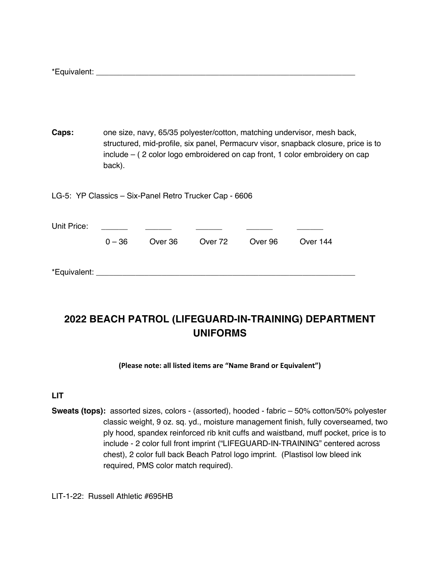\*Equivalent:

**Caps:** one size, navy, 65/35 polyester/cotton, matching undervisor, mesh back, structured, mid-profile, six panel, Permacurv visor, snapback closure, price is to include – ( 2 color logo embroidered on cap front, 1 color embroidery on cap back).

LG-5: YP Classics – Six-Panel Retro Trucker Cap - 6606

| Unit Price:      |          |         |         |         |          |  |
|------------------|----------|---------|---------|---------|----------|--|
|                  | $0 - 36$ | Over 36 | Over 72 | Over 96 | Over 144 |  |
|                  |          |         |         |         |          |  |
| *Equivalent: ___ |          |         |         |         |          |  |

# **2022 BEACH PATROL (LIFEGUARD-IN-TRAINING) DEPARTMENT UNIFORMS**

#### **(Please note: all listed items are "Name Brand or Equivalent")**

**LIT**

**Sweats (tops):** assorted sizes, colors - (assorted), hooded - fabric – 50% cotton/50% polyester classic weight, 9 oz. sq. yd., moisture management finish, fully coverseamed, two ply hood, spandex reinforced rib knit cuffs and waistband, muff pocket, price is to include - 2 color full front imprint ("LIFEGUARD-IN-TRAINING" centered across chest), 2 color full back Beach Patrol logo imprint. (Plastisol low bleed ink required, PMS color match required).

LIT-1-22: Russell Athletic #695HB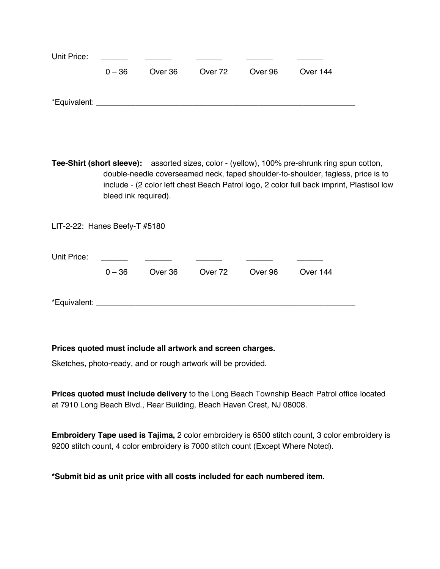| Unit Price: | <u>and the second property</u> |         |         |         |          |
|-------------|--------------------------------|---------|---------|---------|----------|
|             | $0 - 36$                       | Over 36 | Over 72 | Over 96 | Over 144 |
|             |                                |         |         |         |          |

**Tee-Shirt (short sleeve):** assorted sizes, color - (yellow), 100% pre-shrunk ring spun cotton, double-needle coverseamed neck, taped shoulder-to-shoulder, tagless, price is to include - (2 color left chest Beach Patrol logo, 2 color full back imprint, Plastisol low bleed ink required).

LIT-2-22: Hanes Beefy-T #5180

| Unit Price:                   |          |         |         |         |          |  |
|-------------------------------|----------|---------|---------|---------|----------|--|
|                               | $0 - 36$ | Over 36 | Over 72 | Over 96 | Over 144 |  |
|                               |          |         |         |         |          |  |
| *Equivalent: ________________ |          |         |         |         |          |  |

## **Prices quoted must include all artwork and screen charges.**

Sketches, photo-ready, and or rough artwork will be provided.

**Prices quoted must include delivery** to the Long Beach Township Beach Patrol office located at 7910 Long Beach Blvd., Rear Building, Beach Haven Crest, NJ 08008.

**Embroidery Tape used is Tajima,** 2 color embroidery is 6500 stitch count, 3 color embroidery is 9200 stitch count, 4 color embroidery is 7000 stitch count (Except Where Noted).

**\*Submit bid as unit price with all costs included for each numbered item.**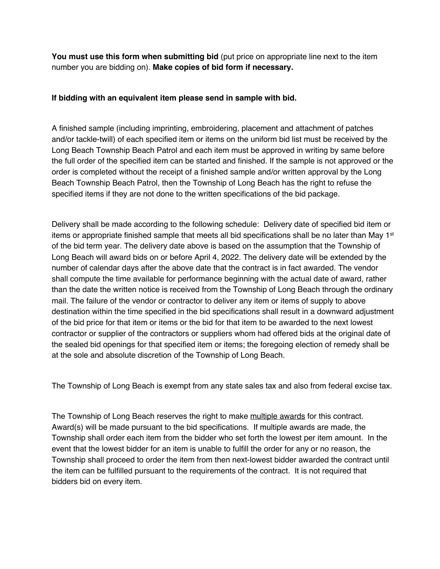**You must use this form when submitting bid** (put price on appropriate line next to the item number you are bidding on). **Make copies of bid form if necessary.**

## **If bidding with an equivalent item please send in sample with bid.**

A finished sample (including imprinting, embroidering, placement and attachment of patches and/or tackle-twill) of each specified item or items on the uniform bid list must be received by the Long Beach Township Beach Patrol and each item must be approved in writing by same before the full order of the specified item can be started and finished. If the sample is not approved or the order is completed without the receipt of a finished sample and/or written approval by the Long Beach Township Beach Patrol, then the Township of Long Beach has the right to refuse the specified items if they are not done to the written specifications of the bid package.

Delivery shall be made according to the following schedule: Delivery date of specified bid item or items or appropriate finished sample that meets all bid specifications shall be no later than May 1<sup>st</sup> of the bid term year. The delivery date above is based on the assumption that the Township of Long Beach will award bids on or before April 4, 2022. The delivery date will be extended by the number of calendar days after the above date that the contract is in fact awarded. The vendor shall compute the time available for performance beginning with the actual date of award, rather than the date the written notice is received from the Township of Long Beach through the ordinary mail. The failure of the vendor or contractor to deliver any item or items of supply to above destination within the time specified in the bid specifications shall result in a downward adjustment of the bid price for that item or items or the bid for that item to be awarded to the next lowest contractor or supplier of the contractors or suppliers whom had offered bids at the original date of the sealed bid openings for that specified item or items; the foregoing election of remedy shall be at the sole and absolute discretion of the Township of Long Beach.

The Township of Long Beach is exempt from any state sales tax and also from federal excise tax.

The Township of Long Beach reserves the right to make multiple awards for this contract. Award(s) will be made pursuant to the bid specifications. If multiple awards are made, the Township shall order each item from the bidder who set forth the lowest per item amount. In the event that the lowest bidder for an item is unable to fulfill the order for any or no reason, the Township shall proceed to order the item from then next-lowest bidder awarded the contract until the item can be fulfilled pursuant to the requirements of the contract. It is not required that bidders bid on every item.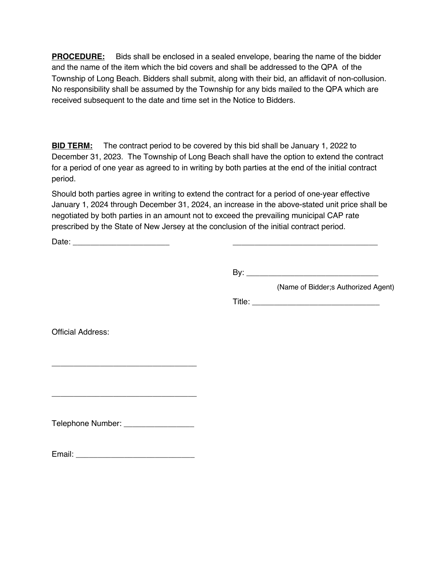**PROCEDURE:** Bids shall be enclosed in a sealed envelope, bearing the name of the bidder and the name of the item which the bid covers and shall be addressed to the QPA of the Township of Long Beach. Bidders shall submit, along with their bid, an affidavit of non-collusion. No responsibility shall be assumed by the Township for any bids mailed to the QPA which are received subsequent to the date and time set in the Notice to Bidders.

**BID TERM:** The contract period to be covered by this bid shall be January 1, 2022 to December 31, 2023. The Township of Long Beach shall have the option to extend the contract for a period of one year as agreed to in writing by both parties at the end of the initial contract period.

Should both parties agree in writing to extend the contract for a period of one-year effective January 1, 2024 through December 31, 2024, an increase in the above-stated unit price shall be negotiated by both parties in an amount not to exceed the prevailing municipal CAP rate prescribed by the State of New Jersey at the conclusion of the initial contract period.

Date:  $\Box$ 

 $\mathsf{By:}$ 

(Name of Bidder;s Authorized Agent)

Title: \_\_\_\_\_\_\_\_\_\_\_\_\_\_\_\_\_\_\_\_\_\_\_\_\_\_\_\_\_

Official Address:

Telephone Number:

Email: \_\_\_\_\_\_\_\_\_\_\_\_\_\_\_\_\_\_\_\_\_\_\_\_\_\_\_

\_\_\_\_\_\_\_\_\_\_\_\_\_\_\_\_\_\_\_\_\_\_\_\_\_\_\_\_\_\_\_\_\_

\_\_\_\_\_\_\_\_\_\_\_\_\_\_\_\_\_\_\_\_\_\_\_\_\_\_\_\_\_\_\_\_\_